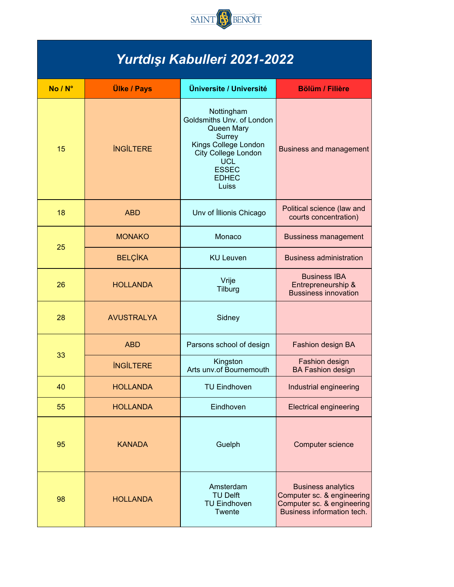

## *Yurtdışı Kabulleri 2021-2022*

| No / N° | <b>Ülke / Pays</b> | Üniversite / Université                                                                                                                                               | <b>Bölüm / Filière</b>                                                                                              |
|---------|--------------------|-----------------------------------------------------------------------------------------------------------------------------------------------------------------------|---------------------------------------------------------------------------------------------------------------------|
| 15      | <b>INGILTERE</b>   | Nottingham<br>Goldsmiths Unv. of London<br>Queen Mary<br>Surrey<br>Kings College London<br>City College London<br><b>UCL</b><br><b>ESSEC</b><br><b>EDHEC</b><br>Luiss | <b>Business and management</b>                                                                                      |
| 18      | <b>ABD</b>         | Unv of Illionis Chicago                                                                                                                                               | Political science (law and<br>courts concentration)                                                                 |
| 25      | <b>MONAKO</b>      | Monaco                                                                                                                                                                | <b>Bussiness management</b>                                                                                         |
|         | <b>BELÇİKA</b>     | <b>KU Leuven</b>                                                                                                                                                      | <b>Business administration</b>                                                                                      |
| 26      | <b>HOLLANDA</b>    | Vrije<br>Tilburg                                                                                                                                                      | <b>Business IBA</b><br>Entrepreneurship &<br><b>Bussiness innovation</b>                                            |
| 28      | <b>AVUSTRALYA</b>  | Sidney                                                                                                                                                                |                                                                                                                     |
|         | <b>ABD</b>         | Parsons school of design                                                                                                                                              | Fashion design BA                                                                                                   |
| 33      | <b>INGILTERE</b>   | Kingston<br>Arts unv.of Bournemouth                                                                                                                                   | Fashion design<br><b>BA Fashion design</b>                                                                          |
| 40      | <b>HOLLANDA</b>    | <b>TU Eindhoven</b>                                                                                                                                                   | Industrial engineering                                                                                              |
| 55      | <b>HOLLANDA</b>    | Eindhoven                                                                                                                                                             | <b>Electrical engineering</b>                                                                                       |
| 95      | <b>KANADA</b>      | Guelph                                                                                                                                                                | Computer science                                                                                                    |
| 98      | <b>HOLLANDA</b>    | Amsterdam<br><b>TU Delft</b><br><b>TU Eindhoven</b><br>Twente                                                                                                         | <b>Business analytics</b><br>Computer sc. & engineering<br>Computer sc. & engineering<br>Business information tech. |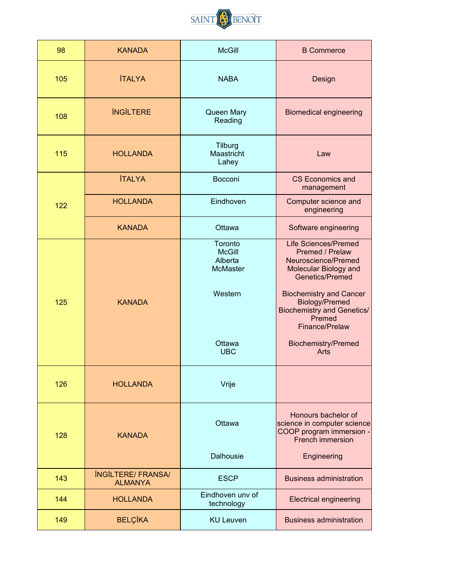

| 98  | <b>KANADA</b>                               | <b>McGill</b>                                                                             | <b>B</b> Commerce                                                                                                                                                                                                                                                            |
|-----|---------------------------------------------|-------------------------------------------------------------------------------------------|------------------------------------------------------------------------------------------------------------------------------------------------------------------------------------------------------------------------------------------------------------------------------|
| 105 | <b>İTALYA</b>                               | <b>NABA</b>                                                                               | Design                                                                                                                                                                                                                                                                       |
| 108 | <b>INGILTERE</b>                            | Queen Mary<br>Reading                                                                     | <b>Biomedical engineering</b>                                                                                                                                                                                                                                                |
| 115 | <b>HOLLANDA</b>                             | Tilburg<br>Maastricht<br>Lahey                                                            | Law                                                                                                                                                                                                                                                                          |
|     | <b>İTALYA</b>                               | Bocconi                                                                                   | <b>CS Economics and</b><br>management                                                                                                                                                                                                                                        |
| 122 | <b>HOLLANDA</b>                             | Eindhoven                                                                                 | Computer science and<br>engineering                                                                                                                                                                                                                                          |
|     | <b>KANADA</b>                               | Ottawa                                                                                    | Software engineering                                                                                                                                                                                                                                                         |
| 125 | <b>KANADA</b>                               | Toronto<br><b>McGill</b><br>Alberta<br><b>McMaster</b><br>Western<br>Ottawa<br><b>UBC</b> | <b>Life Sciences/Premed</b><br>Premed / Prelaw<br>Neuroscience/Premed<br>Molecular Biology and<br>Genetics/Premed<br><b>Biochemistry and Cancer</b><br>Biology/Premed<br><b>Biochemistry and Genetics/</b><br>Premed<br>Finance/Prelaw<br><b>Biochemistry/Premed</b><br>Arts |
| 126 | <b>HOLLANDA</b>                             | Vrije                                                                                     |                                                                                                                                                                                                                                                                              |
| 128 | <b>KANADA</b>                               | Ottawa<br>Dalhousie                                                                       | Honours bachelor of<br>science in computer science<br>COOP program immersion -<br>French immersion<br>Engineering                                                                                                                                                            |
| 143 | <b>INGILTERE/ FRANSA/</b><br><b>ALMANYA</b> | <b>ESCP</b>                                                                               | <b>Business administration</b>                                                                                                                                                                                                                                               |
| 144 | <b>HOLLANDA</b>                             | Eindhoven unv of<br>technology                                                            | <b>Electrical engineering</b>                                                                                                                                                                                                                                                |
| 149 | <b>BELÇİKA</b>                              | <b>KU Leuven</b>                                                                          | <b>Business administration</b>                                                                                                                                                                                                                                               |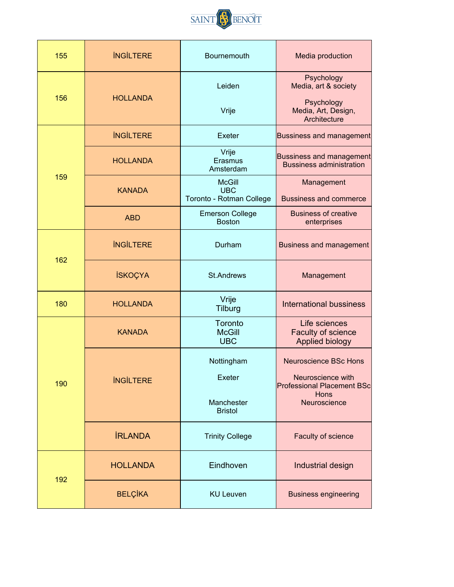

| 155 | <b>INGILTERE</b> | Bournemouth                                             | Media production                                                                                               |
|-----|------------------|---------------------------------------------------------|----------------------------------------------------------------------------------------------------------------|
| 156 | <b>HOLLANDA</b>  | Leiden<br>Vrije                                         | Psychology<br>Media, art & society<br>Psychology<br>Media, Art, Design,<br>Architecture                        |
|     | <b>INGILTERE</b> | Exeter                                                  | <b>Bussiness and management</b>                                                                                |
|     | <b>HOLLANDA</b>  | Vrije<br>Erasmus<br>Amsterdam                           | <b>Bussiness and management</b><br><b>Bussiness administration</b>                                             |
| 159 | <b>KANADA</b>    | <b>McGill</b><br><b>UBC</b><br>Toronto - Rotman College | Management<br><b>Bussiness and commerce</b>                                                                    |
|     | <b>ABD</b>       | <b>Emerson College</b><br><b>Boston</b>                 | <b>Business of creative</b><br>enterprises                                                                     |
|     | <b>INGILTERE</b> | Durham                                                  | <b>Business and management</b>                                                                                 |
| 162 | <b>İSKOÇYA</b>   | <b>St.Andrews</b>                                       | Management                                                                                                     |
| 180 | <b>HOLLANDA</b>  | Vrije<br><b>Tilburg</b>                                 | <b>International bussiness</b>                                                                                 |
| 190 | <b>KANADA</b>    | Toronto<br><b>McGill</b><br><b>UBC</b>                  | Life sciences<br>Faculty of science<br>Applied biology                                                         |
|     | <b>INGILTERE</b> | Nottingham<br>Exeter<br>Manchester<br><b>Bristol</b>    | <b>Neuroscience BSc Hons</b><br>Neuroscience with<br><b>Professional Placement BSc</b><br>Hons<br>Neuroscience |
|     | <b>İRLANDA</b>   | <b>Trinity College</b>                                  | <b>Faculty of science</b>                                                                                      |
| 192 | <b>HOLLANDA</b>  | Eindhoven                                               | Industrial design                                                                                              |
|     | <b>BELÇİKA</b>   | <b>KU Leuven</b>                                        | <b>Business engineering</b>                                                                                    |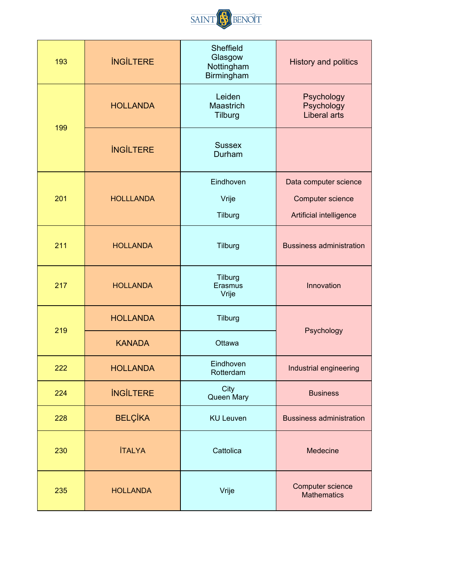

| 193 | <b>INGILTERE</b> | Sheffield<br>Glasgow<br>Nottingham<br>Birmingham | <b>History and politics</b>                     |
|-----|------------------|--------------------------------------------------|-------------------------------------------------|
| 199 | <b>HOLLANDA</b>  | Leiden<br>Maastrich<br>Tilburg                   | Psychology<br>Psychology<br><b>Liberal arts</b> |
|     | <b>INGILTERE</b> | <b>Sussex</b><br>Durham                          |                                                 |
|     |                  | Eindhoven                                        | Data computer science                           |
| 201 | <b>HOLLLANDA</b> | Vrije                                            | Computer science                                |
|     |                  | Tilburg                                          | Artificial intelligence                         |
| 211 | <b>HOLLANDA</b>  | Tilburg                                          | <b>Bussiness administration</b>                 |
| 217 | <b>HOLLANDA</b>  | Tilburg<br>Erasmus<br>Vrije                      | Innovation                                      |
| 219 | <b>HOLLANDA</b>  | Tilburg                                          | Psychology                                      |
|     | <b>KANADA</b>    | Ottawa                                           |                                                 |
| 222 | <b>HOLLANDA</b>  | Eindhoven<br>Rotterdam                           | Industrial engineering                          |
| 224 | <b>INGILTERE</b> | City<br>Queen Mary                               | <b>Business</b>                                 |
| 228 | <b>BELÇİKA</b>   | <b>KU Leuven</b>                                 | <b>Bussiness administration</b>                 |
| 230 | <b>İTALYA</b>    | Cattolica                                        | Medecine                                        |
| 235 | <b>HOLLANDA</b>  | Vrije                                            | Computer science<br><b>Mathematics</b>          |